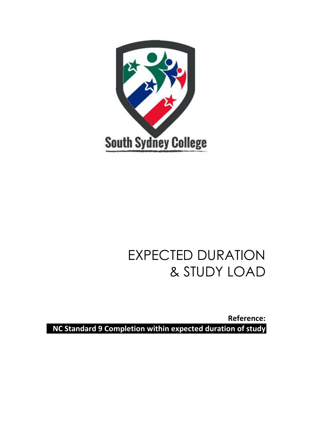

# EXPECTED DURATION & STUDY LOAD

**Reference: NC Standard 9 Completion within expected duration of study**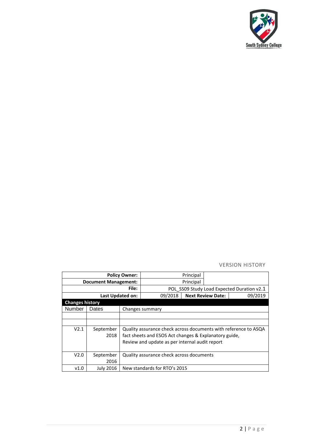

#### VERSION HISTORY

| <b>Policy Owner:</b>        |                  |                                                       |                                                                 | Principal |                          |         |  |
|-----------------------------|------------------|-------------------------------------------------------|-----------------------------------------------------------------|-----------|--------------------------|---------|--|
| <b>Document Management:</b> |                  |                                                       |                                                                 | Principal |                          |         |  |
| File:                       |                  |                                                       | POL SS09 Study Load Expected Duration v2.1                      |           |                          |         |  |
| Last Updated on:            |                  |                                                       | 09/2018                                                         |           | <b>Next Review Date:</b> | 09/2019 |  |
| <b>Changes history</b>      |                  |                                                       |                                                                 |           |                          |         |  |
| Number                      | Dates            |                                                       | Changes summary                                                 |           |                          |         |  |
|                             |                  |                                                       |                                                                 |           |                          |         |  |
|                             |                  |                                                       |                                                                 |           |                          |         |  |
| V2.1                        | September        |                                                       | Quality assurance check across documents with reference to ASQA |           |                          |         |  |
|                             | 2018             | fact sheets and ESOS Act changes & Explanatory guide, |                                                                 |           |                          |         |  |
|                             |                  | Review and update as per internal audit report        |                                                                 |           |                          |         |  |
|                             |                  |                                                       |                                                                 |           |                          |         |  |
| V2.0                        | September        |                                                       | Quality assurance check across documents                        |           |                          |         |  |
|                             | 2016             |                                                       |                                                                 |           |                          |         |  |
| v1.0                        | <b>July 2016</b> |                                                       | New standards for RTO's 2015                                    |           |                          |         |  |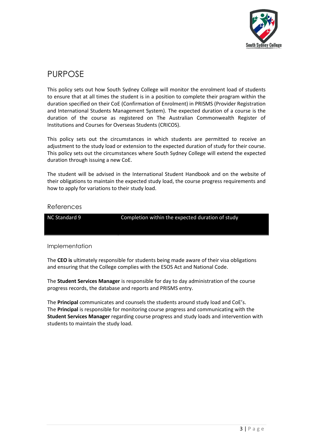

## PURPOSE

This policy sets out how South Sydney College will monitor the enrolment load of students to ensure that at all times the student is in a position to complete their program within the duration specified on their CoE (Confirmation of Enrolment) in PRISMS (Provider Registration and International Students Management System). The expected duration of a course is the duration of the course as registered on The Australian Commonwealth Register of Institutions and Courses for Overseas Students (CRICOS).

This policy sets out the circumstances in which students are permitted to receive an adjustment to the study load or extension to the expected duration of study for their course. This policy sets out the circumstances where South Sydney College will extend the expected duration through issuing a new CoE.

The student will be advised in the International Student Handbook and on the website of their obligations to maintain the expected study load, the course progress requirements and how to apply for variations to their study load.

#### References

NC Standard 9 Completion within the expected duration of study

#### Implementation

The **CEO is** ultimately responsible for students being made aware of their visa obligations and ensuring that the College complies with the ESOS Act and National Code.

The **Student Services Manager** is responsible for day to day administration of the course progress records, the database and reports and PRISMS entry.

The **Principal** communicates and counsels the students around study load and CoE's. The **Principal** is responsible for monitoring course progress and communicating with the **Student Services Manager** regarding course progress and study loads and intervention with students to maintain the study load.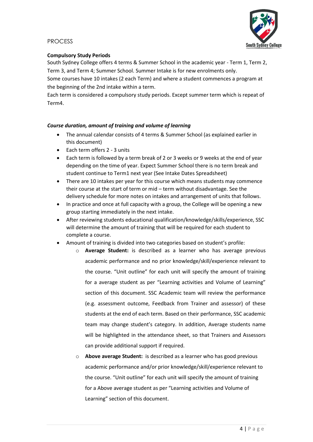#### PROCESS



#### **Compulsory Study Periods**

South Sydney College offers 4 terms & Summer School in the academic year - Term 1, Term 2, Term 3, and Term 4; Summer School. Summer Intake is for new enrolments only.

Some courses have 10 intakes (2 each Term) and where a student commences a program at the beginning of the 2nd intake within a term.

Each term is considered a compulsory study periods. Except summer term which is repeat of Term4.

#### *Course duration, amount of training and volume of learning*

- The annual calendar consists of 4 terms & Summer School (as explained earlier in this document)
- Each term offers 2 3 units
- Each term is followed by a term break of 2 or 3 weeks or 9 weeks at the end of year depending on the time of year. Expect Summer School there is no term break and student continue to Term1 next year (See Intake Dates Spreadsheet)
- There are 10 intakes per year for this course which means students may commence their course at the start of term or mid – term without disadvantage. See the delivery schedule for more notes on intakes and arrangement of units that follows.
- In practice and once at full capacity with a group, the College will be opening a new group starting immediately in the next intake.
- After reviewing students educational qualification/knowledge/skills/experience, SSC will determine the amount of training that will be required for each student to complete a course.
- Amount of training is divided into two categories based on student's profile:
	- o **Average Student:** is described as a learner who has average previous academic performance and no prior knowledge/skill/experience relevant to the course. "Unit outline" for each unit will specify the amount of training for a average student as per "Learning activities and Volume of Learning" section of this document. SSC Academic team will review the performance (e.g. assessment outcome, Feedback from Trainer and assessor) of these students at the end of each term. Based on their performance, SSC academic team may change student's category. In addition, Average students name will be highlighted in the attendance sheet, so that Trainers and Assessors can provide additional support if required.
	- o **Above average Student:** is described as a learner who has good previous academic performance and/or prior knowledge/skill/experience relevant to the course. "Unit outline" for each unit will specify the amount of training for a Above average student as per "Learning activities and Volume of Learning" section of this document.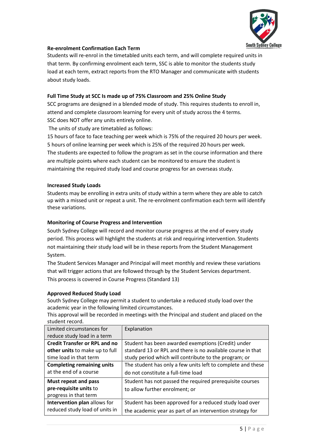

#### **Re-enrolment Confirmation Each Term**

Students will re-enrol in the timetabled units each term, and will complete required units in that term. By confirming enrolment each term, SSC is able to monitor the students study load at each term, extract reports from the RTO Manager and communicate with students about study loads.

#### **Full Time Study at SCC Is made up of 75% Classroom and 25% Online Study**

SCC programs are designed in a blended mode of study. This requires students to enroll in, attend and complete classroom learning for every unit of study across the 4 terms. SSC does NOT offer any units entirely online.

The units of study are timetabled as follows:

15 hours of face to face teaching per week which is 75% of the required 20 hours per week. 5 hours of online learning per week which is 25% of the required 20 hours per week. The students are expected to follow the program as set in the course information and there are multiple points where each student can be monitored to ensure the student is maintaining the required study load and course progress for an overseas study.

#### **Increased Study Loads**

Students may be enrolling in extra units of study within a term where they are able to catch up with a missed unit or repeat a unit. The re-enrolment confirmation each term will identify these variations.

#### **Monitoring of Course Progress and Intervention**

South Sydney College will record and monitor course progress at the end of every study period. This process will highlight the students at risk and requiring intervention. Students not maintaining their study load will be in these reports from the Student Management System.

The Student Services Manager and Principal will meet monthly and review these variations that will trigger actions that are followed through by the Student Services department. This process is covered in Course Progress (Standard 13)

#### **Approved Reduced Study Load**

South Sydney College may permit a student to undertake a reduced study load over the academic year in the following limited circumstances.

This approval will be recorded in meetings with the Principal and student and placed on the student record.

| Limited circumstances for            | Explanation                                                 |  |  |
|--------------------------------------|-------------------------------------------------------------|--|--|
| reduce study load in a term          |                                                             |  |  |
| <b>Credit Transfer or RPL and no</b> | Student has been awarded exemptions (Credit) under          |  |  |
| other units to make up to full       | standard 13 or RPL and there is no available course in that |  |  |
| time load in that term               | study period which will contribute to the program; or       |  |  |
| <b>Completing remaining units</b>    | The student has only a few units left to complete and these |  |  |
| at the end of a course               | do not constitute a full-time load                          |  |  |
| Must repeat and pass                 | Student has not passed the required prerequisite courses    |  |  |
| pre-requisite units to               | to allow further enrolment; or                              |  |  |
| progress in that term                |                                                             |  |  |
| Intervention plan allows for         | Student has been approved for a reduced study load over     |  |  |
| reduced study load of units in       | the academic year as part of an intervention strategy for   |  |  |